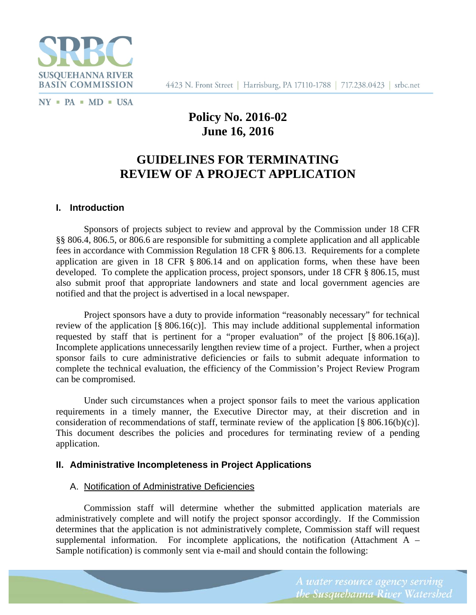

4423 N. Front Street | Harrisburg, PA 17110-1788 | 717.238.0423 | srbc.net

 $NY$  = PA = MD = USA

# **Policy No. 2016-02 June 16, 2016**

# **GUIDELINES FOR TERMINATING REVIEW OF A PROJECT APPLICATION**

## **I. Introduction**

Sponsors of projects subject to review and approval by the Commission under 18 CFR §§ 806.4, 806.5, or 806.6 are responsible for submitting a complete application and all applicable fees in accordance with Commission Regulation 18 CFR § 806.13. Requirements for a complete application are given in 18 CFR § 806.14 and on application forms, when these have been developed. To complete the application process, project sponsors, under 18 CFR § 806.15, must also submit proof that appropriate landowners and state and local government agencies are notified and that the project is advertised in a local newspaper.

Project sponsors have a duty to provide information "reasonably necessary" for technical review of the application  $\lceil \frac{8}{5} \cdot 806.16(c) \rceil$ . This may include additional supplemental information requested by staff that is pertinent for a "proper evaluation" of the project [§ 806.16(a)]. Incomplete applications unnecessarily lengthen review time of a project. Further, when a project sponsor fails to cure administrative deficiencies or fails to submit adequate information to complete the technical evaluation, the efficiency of the Commission's Project Review Program can be compromised.

Under such circumstances when a project sponsor fails to meet the various application requirements in a timely manner, the Executive Director may, at their discretion and in consideration of recommendations of staff, terminate review of the application [§ 806.16(b)(c)]. This document describes the policies and procedures for terminating review of a pending application.

## **II. Administrative Incompleteness in Project Applications**

## A. Notification of Administrative Deficiencies

Commission staff will determine whether the submitted application materials are administratively complete and will notify the project sponsor accordingly. If the Commission determines that the application is not administratively complete, Commission staff will request supplemental information. For incomplete applications, the notification (Attachment  $A -$ Sample notification) is commonly sent via e-mail and should contain the following: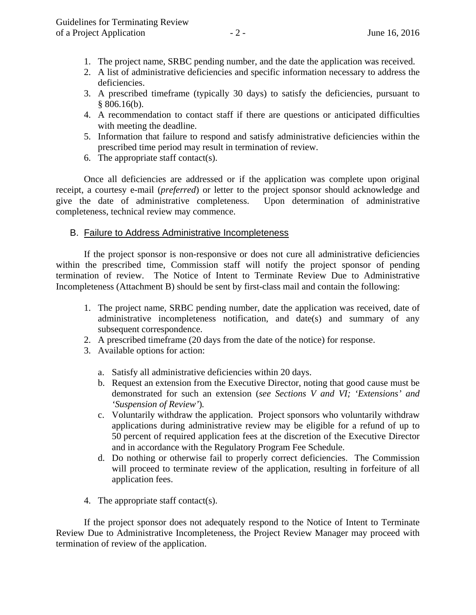- 1. The project name, SRBC pending number, and the date the application was received.
- 2. A list of administrative deficiencies and specific information necessary to address the deficiencies.
- 3. A prescribed timeframe (typically 30 days) to satisfy the deficiencies, pursuant to  $§ 806.16(b).$
- 4. A recommendation to contact staff if there are questions or anticipated difficulties with meeting the deadline.
- 5. Information that failure to respond and satisfy administrative deficiencies within the prescribed time period may result in termination of review.
- 6. The appropriate staff contact(s).

 Once all deficiencies are addressed or if the application was complete upon original receipt, a courtesy e-mail (*preferred*) or letter to the project sponsor should acknowledge and give the date of administrative completeness. Upon determination of administrative completeness, technical review may commence.

## B. Failure to Address Administrative Incompleteness

 If the project sponsor is non-responsive or does not cure all administrative deficiencies within the prescribed time, Commission staff will notify the project sponsor of pending termination of review. The Notice of Intent to Terminate Review Due to Administrative Incompleteness (Attachment B) should be sent by first-class mail and contain the following:

- 1. The project name, SRBC pending number, date the application was received, date of administrative incompleteness notification, and date(s) and summary of any subsequent correspondence.
- 2. A prescribed timeframe (20 days from the date of the notice) for response.
- 3. Available options for action:
	- a. Satisfy all administrative deficiencies within 20 days.
	- b. Request an extension from the Executive Director, noting that good cause must be demonstrated for such an extension (*see Sections V and VI; 'Extensions' and 'Suspension of Review'*)*.*
	- c. Voluntarily withdraw the application. Project sponsors who voluntarily withdraw applications during administrative review may be eligible for a refund of up to 50 percent of required application fees at the discretion of the Executive Director and in accordance with the Regulatory Program Fee Schedule.
	- d. Do nothing or otherwise fail to properly correct deficiencies. The Commission will proceed to terminate review of the application, resulting in forfeiture of all application fees.
- 4. The appropriate staff contact(s).

 If the project sponsor does not adequately respond to the Notice of Intent to Terminate Review Due to Administrative Incompleteness, the Project Review Manager may proceed with termination of review of the application.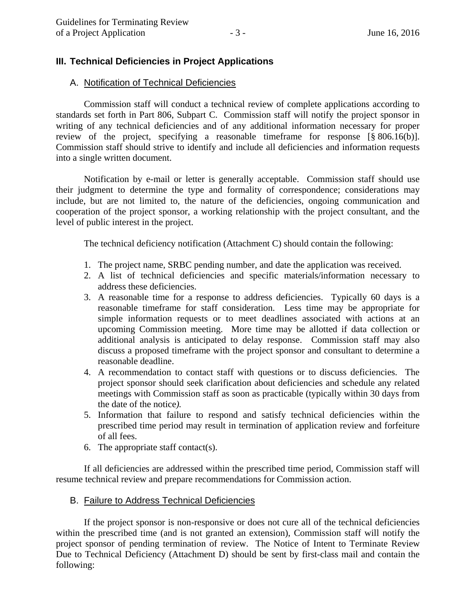## **III. Technical Deficiencies in Project Applications**

### A. Notification of Technical Deficiencies

 Commission staff will conduct a technical review of complete applications according to standards set forth in Part 806, Subpart C. Commission staff will notify the project sponsor in writing of any technical deficiencies and of any additional information necessary for proper review of the project, specifying a reasonable timeframe for response [§ 806.16(b)]. Commission staff should strive to identify and include all deficiencies and information requests into a single written document.

 Notification by e-mail or letter is generally acceptable. Commission staff should use their judgment to determine the type and formality of correspondence; considerations may include, but are not limited to, the nature of the deficiencies, ongoing communication and cooperation of the project sponsor, a working relationship with the project consultant, and the level of public interest in the project.

The technical deficiency notification (Attachment C) should contain the following:

- 1. The project name, SRBC pending number, and date the application was received.
- 2. A list of technical deficiencies and specific materials/information necessary to address these deficiencies.
- 3. A reasonable time for a response to address deficiencies. Typically 60 days is a reasonable timeframe for staff consideration. Less time may be appropriate for simple information requests or to meet deadlines associated with actions at an upcoming Commission meeting. More time may be allotted if data collection or additional analysis is anticipated to delay response. Commission staff may also discuss a proposed timeframe with the project sponsor and consultant to determine a reasonable deadline.
- 4. A recommendation to contact staff with questions or to discuss deficiencies. The project sponsor should seek clarification about deficiencies and schedule any related meetings with Commission staff as soon as practicable (typically within 30 days from the date of the notice*).*
- 5. Information that failure to respond and satisfy technical deficiencies within the prescribed time period may result in termination of application review and forfeiture of all fees.
- 6. The appropriate staff contact(s).

 If all deficiencies are addressed within the prescribed time period, Commission staff will resume technical review and prepare recommendations for Commission action.

## B. Failure to Address Technical Deficiencies

 If the project sponsor is non-responsive or does not cure all of the technical deficiencies within the prescribed time (and is not granted an extension), Commission staff will notify the project sponsor of pending termination of review. The Notice of Intent to Terminate Review Due to Technical Deficiency (Attachment D) should be sent by first-class mail and contain the following: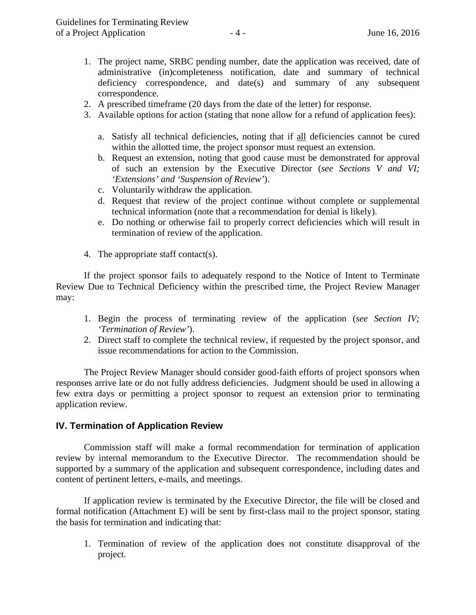- 1. The project name, SRBC pending number, date the application was received, date of administrative (in)completeness notification, date and summary of technical deficiency correspondence, and date(s) and summary of any subsequent correspondence.
- 2. A prescribed timeframe (20 days from the date of the letter) for response.
- 3. Available options for action (stating that none allow for a refund of application fees):
	- a. Satisfy all technical deficiencies, noting that if all deficiencies cannot be cured within the allotted time, the project sponsor must request an extension.
	- b. Request an extension, noting that good cause must be demonstrated for approval of such an extension by the Executive Director (*see Sections V and VI; 'Extensions' and 'Suspension of Review'*).
	- c. Voluntarily withdraw the application.
	- d. Request that review of the project continue without complete or supplemental technical information (note that a recommendation for denial is likely).
	- e. Do nothing or otherwise fail to properly correct deficiencies which will result in termination of review of the application.
- 4. The appropriate staff contact(s).

 If the project sponsor fails to adequately respond to the Notice of Intent to Terminate Review Due to Technical Deficiency within the prescribed time, the Project Review Manager may:

- 1. Begin the process of terminating review of the application (*see Section IV; 'Termination of Review'*).
- 2. Direct staff to complete the technical review, if requested by the project sponsor, and issue recommendations for action to the Commission.

 The Project Review Manager should consider good-faith efforts of project sponsors when responses arrive late or do not fully address deficiencies. Judgment should be used in allowing a few extra days or permitting a project sponsor to request an extension prior to terminating application review.

## **IV. Termination of Application Review**

 Commission staff will make a formal recommendation for termination of application review by internal memorandum to the Executive Director. The recommendation should be supported by a summary of the application and subsequent correspondence, including dates and content of pertinent letters, e-mails, and meetings.

 If application review is terminated by the Executive Director, the file will be closed and formal notification (Attachment E) will be sent by first-class mail to the project sponsor, stating the basis for termination and indicating that:

1. Termination of review of the application does not constitute disapproval of the project.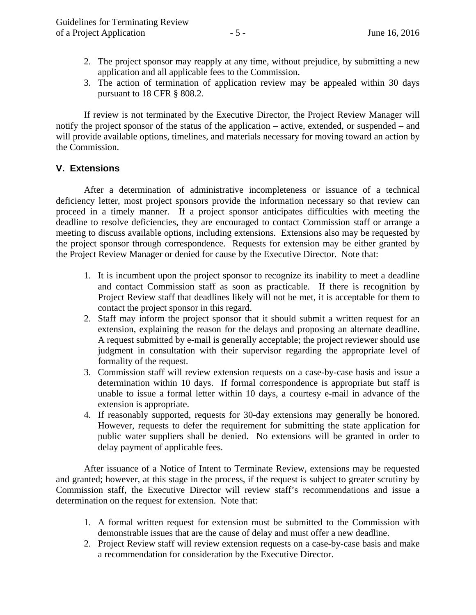- 2. The project sponsor may reapply at any time, without prejudice, by submitting a new application and all applicable fees to the Commission.
- 3. The action of termination of application review may be appealed within 30 days pursuant to 18 CFR § 808.2.

 If review is not terminated by the Executive Director, the Project Review Manager will notify the project sponsor of the status of the application – active, extended, or suspended – and will provide available options, timelines, and materials necessary for moving toward an action by the Commission.

## **V. Extensions**

 After a determination of administrative incompleteness or issuance of a technical deficiency letter, most project sponsors provide the information necessary so that review can proceed in a timely manner. If a project sponsor anticipates difficulties with meeting the deadline to resolve deficiencies, they are encouraged to contact Commission staff or arrange a meeting to discuss available options, including extensions. Extensions also may be requested by the project sponsor through correspondence. Requests for extension may be either granted by the Project Review Manager or denied for cause by the Executive Director. Note that:

- 1. It is incumbent upon the project sponsor to recognize its inability to meet a deadline and contact Commission staff as soon as practicable. If there is recognition by Project Review staff that deadlines likely will not be met, it is acceptable for them to contact the project sponsor in this regard.
- 2. Staff may inform the project sponsor that it should submit a written request for an extension, explaining the reason for the delays and proposing an alternate deadline. A request submitted by e-mail is generally acceptable; the project reviewer should use judgment in consultation with their supervisor regarding the appropriate level of formality of the request.
- 3. Commission staff will review extension requests on a case-by-case basis and issue a determination within 10 days. If formal correspondence is appropriate but staff is unable to issue a formal letter within 10 days, a courtesy e-mail in advance of the extension is appropriate.
- 4. If reasonably supported, requests for 30-day extensions may generally be honored. However, requests to defer the requirement for submitting the state application for public water suppliers shall be denied. No extensions will be granted in order to delay payment of applicable fees.

After issuance of a Notice of Intent to Terminate Review, extensions may be requested and granted; however, at this stage in the process, if the request is subject to greater scrutiny by Commission staff, the Executive Director will review staff's recommendations and issue a determination on the request for extension. Note that:

- 1. A formal written request for extension must be submitted to the Commission with demonstrable issues that are the cause of delay and must offer a new deadline.
- 2. Project Review staff will review extension requests on a case-by-case basis and make a recommendation for consideration by the Executive Director.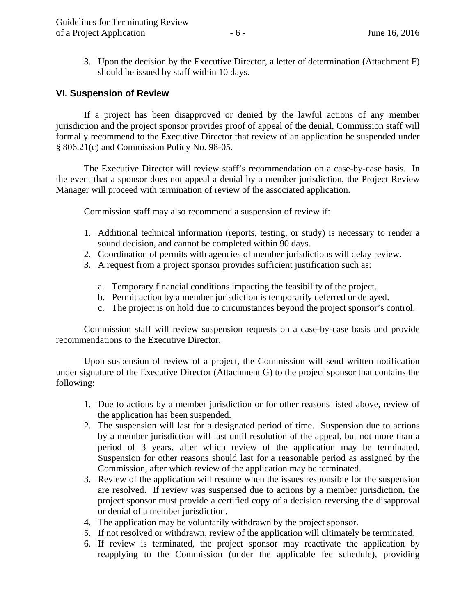3. Upon the decision by the Executive Director, a letter of determination (Attachment F) should be issued by staff within 10 days.

### **VI. Suspension of Review**

 If a project has been disapproved or denied by the lawful actions of any member jurisdiction and the project sponsor provides proof of appeal of the denial, Commission staff will formally recommend to the Executive Director that review of an application be suspended under § 806.21(c) and Commission Policy No. 98-05.

 The Executive Director will review staff's recommendation on a case-by-case basis. In the event that a sponsor does not appeal a denial by a member jurisdiction, the Project Review Manager will proceed with termination of review of the associated application.

Commission staff may also recommend a suspension of review if:

- 1. Additional technical information (reports, testing, or study) is necessary to render a sound decision, and cannot be completed within 90 days.
- 2. Coordination of permits with agencies of member jurisdictions will delay review.
- 3. A request from a project sponsor provides sufficient justification such as:
	- a. Temporary financial conditions impacting the feasibility of the project.
	- b. Permit action by a member jurisdiction is temporarily deferred or delayed.
	- c. The project is on hold due to circumstances beyond the project sponsor's control.

 Commission staff will review suspension requests on a case-by-case basis and provide recommendations to the Executive Director.

 Upon suspension of review of a project, the Commission will send written notification under signature of the Executive Director (Attachment G) to the project sponsor that contains the following:

- 1. Due to actions by a member jurisdiction or for other reasons listed above, review of the application has been suspended.
- 2. The suspension will last for a designated period of time. Suspension due to actions by a member jurisdiction will last until resolution of the appeal, but not more than a period of 3 years, after which review of the application may be terminated. Suspension for other reasons should last for a reasonable period as assigned by the Commission, after which review of the application may be terminated.
- 3. Review of the application will resume when the issues responsible for the suspension are resolved. If review was suspensed due to actions by a member jurisdiction, the project sponsor must provide a certified copy of a decision reversing the disapproval or denial of a member jurisdiction.
- 4. The application may be voluntarily withdrawn by the project sponsor.
- 5. If not resolved or withdrawn, review of the application will ultimately be terminated.
- 6. If review is terminated, the project sponsor may reactivate the application by reapplying to the Commission (under the applicable fee schedule), providing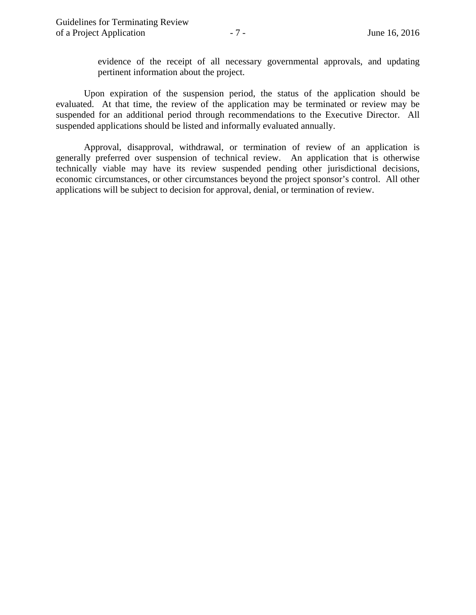evidence of the receipt of all necessary governmental approvals, and updating pertinent information about the project.

 Upon expiration of the suspension period, the status of the application should be evaluated. At that time, the review of the application may be terminated or review may be suspended for an additional period through recommendations to the Executive Director. All suspended applications should be listed and informally evaluated annually.

 Approval, disapproval, withdrawal, or termination of review of an application is generally preferred over suspension of technical review. An application that is otherwise technically viable may have its review suspended pending other jurisdictional decisions, economic circumstances, or other circumstances beyond the project sponsor's control. All other applications will be subject to decision for approval, denial, or termination of review.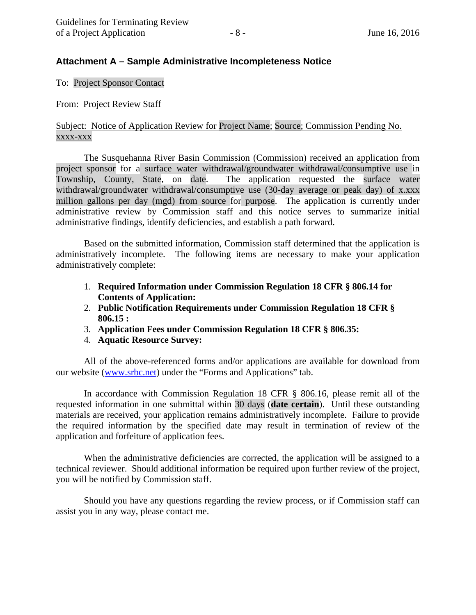## **Attachment A – Sample Administrative Incompleteness Notice**

To: Project Sponsor Contact

From: Project Review Staff

## Subject: Notice of Application Review for Project Name; Source; Commission Pending No. xxxx-xxx

The Susquehanna River Basin Commission (Commission) received an application from project sponsor for a surface water withdrawal/groundwater withdrawal/consumptive use in Township, County, State, on date. The application requested the surface water withdrawal/groundwater withdrawal/consumptive use (30-day average or peak day) of x.xxx million gallons per day (mgd) from source for purpose. The application is currently under administrative review by Commission staff and this notice serves to summarize initial administrative findings, identify deficiencies, and establish a path forward.

Based on the submitted information, Commission staff determined that the application is administratively incomplete. The following items are necessary to make your application administratively complete:

- 1. **Required Information under Commission Regulation 18 CFR § 806.14 for Contents of Application:**
- 2. **Public Notification Requirements under Commission Regulation 18 CFR § 806.15 :**
- 3. **Application Fees under Commission Regulation 18 CFR § 806.35:**
- 4. **Aquatic Resource Survey:**

All of the above-referenced forms and/or applications are available for download from our website (www.srbc.net) under the "Forms and Applications" tab.

In accordance with Commission Regulation 18 CFR § 806.16, please remit all of the requested information in one submittal within 30 days (**date certain**). Until these outstanding materials are received, your application remains administratively incomplete. Failure to provide the required information by the specified date may result in termination of review of the application and forfeiture of application fees.

When the administrative deficiencies are corrected, the application will be assigned to a technical reviewer. Should additional information be required upon further review of the project, you will be notified by Commission staff.

Should you have any questions regarding the review process, or if Commission staff can assist you in any way, please contact me.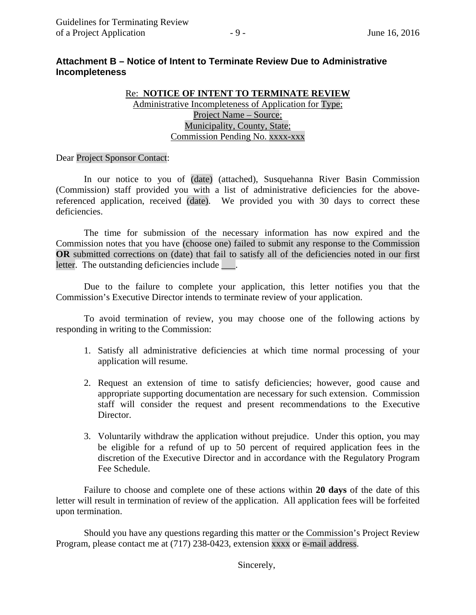# **Attachment B – Notice of Intent to Terminate Review Due to Administrative Incompleteness**

## Re: **NOTICE OF INTENT TO TERMINATE REVIEW** Administrative Incompleteness of Application for Type; Project Name – Source; Municipality, County, State; Commission Pending No. xxxx-xxx

### Dear Project Sponsor Contact:

In our notice to you of (date) (attached), Susquehanna River Basin Commission (Commission) staff provided you with a list of administrative deficiencies for the abovereferenced application, received (date). We provided you with 30 days to correct these deficiencies.

The time for submission of the necessary information has now expired and the Commission notes that you have (choose one) failed to submit any response to the Commission **OR** submitted corrections on (date) that fail to satisfy all of the deficiencies noted in our first letter. The outstanding deficiencies include \_\_\_\_.

Due to the failure to complete your application, this letter notifies you that the Commission's Executive Director intends to terminate review of your application.

To avoid termination of review, you may choose one of the following actions by responding in writing to the Commission:

- 1. Satisfy all administrative deficiencies at which time normal processing of your application will resume.
- 2. Request an extension of time to satisfy deficiencies; however, good cause and appropriate supporting documentation are necessary for such extension. Commission staff will consider the request and present recommendations to the Executive Director.
- 3. Voluntarily withdraw the application without prejudice. Under this option, you may be eligible for a refund of up to 50 percent of required application fees in the discretion of the Executive Director and in accordance with the Regulatory Program Fee Schedule.

Failure to choose and complete one of these actions within **20 days** of the date of this letter will result in termination of review of the application. All application fees will be forfeited upon termination.

Should you have any questions regarding this matter or the Commission's Project Review Program, please contact me at (717) 238-0423, extension xxxx or e-mail address.

Sincerely,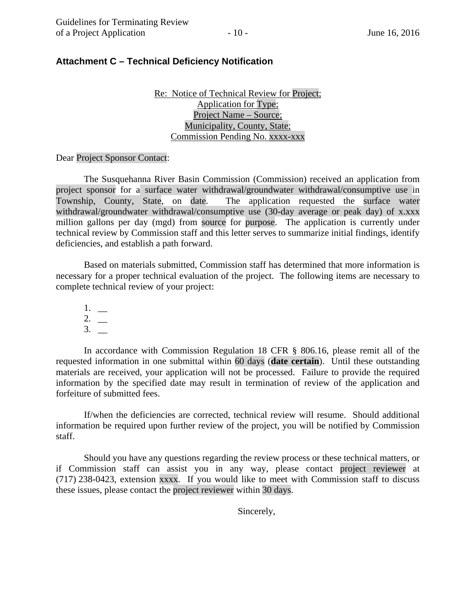## **Attachment C – Technical Deficiency Notification**

Re: Notice of Technical Review for Project; Application for Type; Project Name – Source; Municipality, County, State; Commission Pending No. xxxx-xxx

Dear Project Sponsor Contact:

The Susquehanna River Basin Commission (Commission) received an application from project sponsor for a surface water withdrawal/groundwater withdrawal/consumptive use in Township, County, State, on date. The application requested the surface water withdrawal/groundwater withdrawal/consumptive use (30-day average or peak day) of x.xxx million gallons per day (mgd) from source for purpose. The application is currently under technical review by Commission staff and this letter serves to summarize initial findings, identify deficiencies, and establish a path forward.

Based on materials submitted, Commission staff has determined that more information is necessary for a proper technical evaluation of the project. The following items are necessary to complete technical review of your project:

1. \_\_  $2.$  $3. \_$ 

In accordance with Commission Regulation 18 CFR § 806.16, please remit all of the requested information in one submittal within 60 days (**date certain**). Until these outstanding materials are received, your application will not be processed. Failure to provide the required information by the specified date may result in termination of review of the application and forfeiture of submitted fees.

If/when the deficiencies are corrected, technical review will resume. Should additional information be required upon further review of the project, you will be notified by Commission staff.

Should you have any questions regarding the review process or these technical matters, or if Commission staff can assist you in any way, please contact project reviewer at (717) 238-0423, extension xxxx. If you would like to meet with Commission staff to discuss these issues, please contact the project reviewer within 30 days.

Sincerely,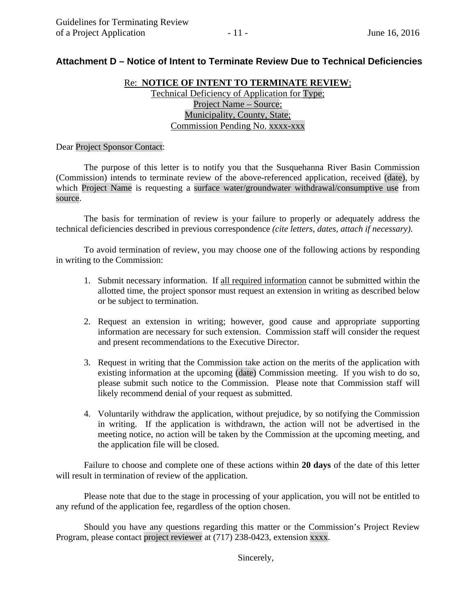# **Attachment D – Notice of Intent to Terminate Review Due to Technical Deficiencies**

### Re: **NOTICE OF INTENT TO TERMINATE REVIEW**;

Technical Deficiency of Application for Type; Project Name – Source; Municipality, County, State; Commission Pending No. xxxx-xxx

#### Dear Project Sponsor Contact:

The purpose of this letter is to notify you that the Susquehanna River Basin Commission (Commission) intends to terminate review of the above-referenced application, received (date), by which Project Name is requesting a surface water/groundwater withdrawal/consumptive use from source.

The basis for termination of review is your failure to properly or adequately address the technical deficiencies described in previous correspondence *(cite letters, dates, attach if necessary)*.

To avoid termination of review, you may choose one of the following actions by responding in writing to the Commission:

- 1. Submit necessary information. If all required information cannot be submitted within the allotted time, the project sponsor must request an extension in writing as described below or be subject to termination.
- 2. Request an extension in writing; however, good cause and appropriate supporting information are necessary for such extension. Commission staff will consider the request and present recommendations to the Executive Director.
- 3. Request in writing that the Commission take action on the merits of the application with existing information at the upcoming (date) Commission meeting. If you wish to do so, please submit such notice to the Commission. Please note that Commission staff will likely recommend denial of your request as submitted.
- 4. Voluntarily withdraw the application, without prejudice, by so notifying the Commission in writing. If the application is withdrawn, the action will not be advertised in the meeting notice, no action will be taken by the Commission at the upcoming meeting, and the application file will be closed.

 Failure to choose and complete one of these actions within **20 days** of the date of this letter will result in termination of review of the application.

Please note that due to the stage in processing of your application, you will not be entitled to any refund of the application fee, regardless of the option chosen.

Should you have any questions regarding this matter or the Commission's Project Review Program, please contact project reviewer at (717) 238-0423, extension xxxx.

Sincerely,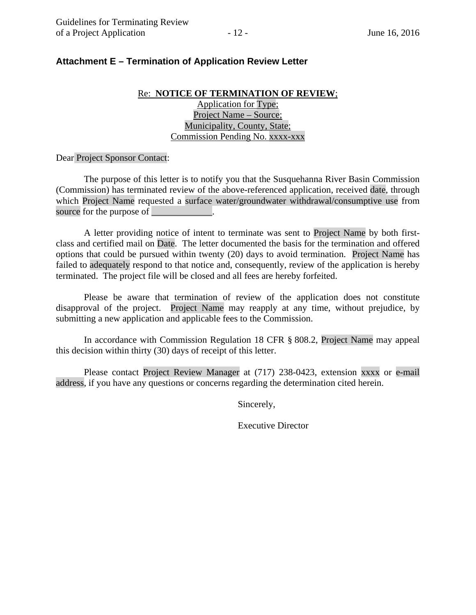## **Attachment E – Termination of Application Review Letter**

## Re: **NOTICE OF TERMINATION OF REVIEW**; Application for Type; Project Name – Source; Municipality, County, State; Commission Pending No. xxxx-xxx

#### Dear Project Sponsor Contact:

The purpose of this letter is to notify you that the Susquehanna River Basin Commission (Commission) has terminated review of the above-referenced application, received date, through which Project Name requested a surface water/groundwater withdrawal/consumptive use from source for the purpose of

A letter providing notice of intent to terminate was sent to Project Name by both firstclass and certified mail on Date. The letter documented the basis for the termination and offered options that could be pursued within twenty (20) days to avoid termination. Project Name has failed to adequately respond to that notice and, consequently, review of the application is hereby terminated. The project file will be closed and all fees are hereby forfeited.

Please be aware that termination of review of the application does not constitute disapproval of the project. Project Name may reapply at any time, without prejudice, by submitting a new application and applicable fees to the Commission.

In accordance with Commission Regulation 18 CFR § 808.2, Project Name may appeal this decision within thirty (30) days of receipt of this letter.

 Please contact Project Review Manager at (717) 238-0423, extension xxxx or e-mail address, if you have any questions or concerns regarding the determination cited herein.

Sincerely,

Executive Director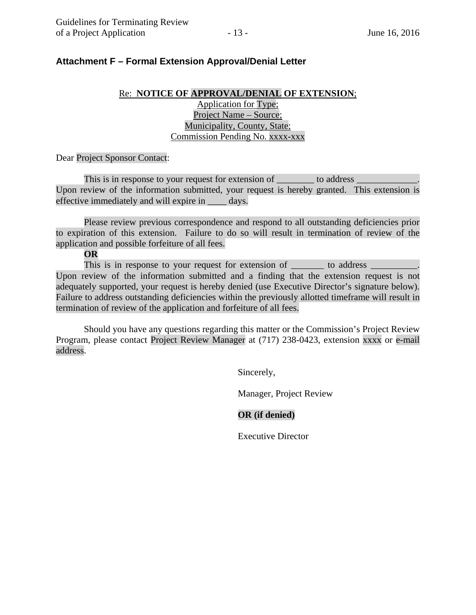## **Attachment F – Formal Extension Approval/Denial Letter**

## Re: **NOTICE OF APPROVAL/DENIAL OF EXTENSION**; Application for Type; Project Name – Source; Municipality, County, State; Commission Pending No. xxxx-xxx

Dear Project Sponsor Contact:

This is in response to your request for extension of \_\_\_\_\_\_\_\_\_\_ to address \_ Upon review of the information submitted, your request is hereby granted. This extension is effective immediately and will expire in days.

Please review previous correspondence and respond to all outstanding deficiencies prior to expiration of this extension. Failure to do so will result in termination of review of the application and possible forfeiture of all fees.

**OR** 

This is in response to your request for extension of \_\_\_\_\_\_\_\_\_ to address Upon review of the information submitted and a finding that the extension request is not adequately supported, your request is hereby denied (use Executive Director's signature below). Failure to address outstanding deficiencies within the previously allotted timeframe will result in termination of review of the application and forfeiture of all fees.

Should you have any questions regarding this matter or the Commission's Project Review Program, please contact Project Review Manager at (717) 238-0423, extension xxxx or e-mail address.

Sincerely,

Manager, Project Review

## **OR (if denied)**

Executive Director